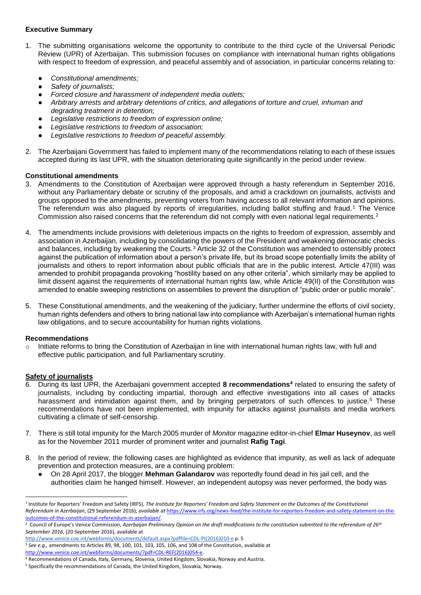# **Executive Summary**

- 1. The submitting organisations welcome the opportunity to contribute to the third cycle of the Universal Periodic Review (UPR) of Azerbaijan. This submission focuses on compliance with international human rights obligations with respect to freedom of expression, and peaceful assembly and of association, in particular concerns relating to:
	- *Constitutional amendments;*
	- *Safety of journalists;*
	- *Forced closure and harassment of independent media outlets;*
	- *Arbitrary arrests and arbitrary detentions of critics, and allegations of torture and cruel, inhuman and degrading treatment in detention;*
	- Legislative restrictions to freedom of expression online;
	- Legislative restrictions to freedom of association:
	- Legislative restrictions to freedom of peaceful assembly.
- 2. The Azerbaijani Government has failed to implement many of the recommendations relating to each of these issues accepted during its last UPR, with the situation deteriorating quite significantly in the period under review.

## **Constitutional amendments**

- 3. Amendments to the Constitution of Azerbaijan were approved through a hasty referendum in September 2016, without any Parliamentary debate or scrutiny of the proposals, and amid a crackdown on journalists, activists and groups opposed to the amendments, preventing voters from having access to all relevant information and opinions. The referendum was also plagued by reports of irregularities, including ballot stuffing and fraud.<sup>1</sup> The Venice Commission also raised concerns that the referendum did not comply with even national legal requirements.<sup>2</sup>
- 4. The amendments include provisions with deleterious impacts on the rights to freedom of expression, assembly and association in Azerbaijan, including by consolidating the powers of the President and weakening democratic checks and balances, including by weakening the Courts.<sup>3</sup> Article 32 of the Constitution was amended to ostensibly protect against the publication of information about a person's private life, but its broad scope potentially limits the ability of journalists and others to report information about public officials that are in the public interest. Article 47(III) was amended to prohibit propaganda provoking "hostility based on any other criteria", which similarly may be applied to limit dissent against the requirements of international human rights law, while Article 49(II) of the Constitution was amended to enable sweeping restrictions on assemblies to prevent the disruption of "public order or public morale".
- 5. These Constitutional amendments, and the weakening of the judiciary, further undermine the efforts of civil society, human rights defenders and others to bring national law into compliance with Azerbaijan's international human rights law obligations, and to secure accountability for human rights violations.

## **Recommendations**

Initiate reforms to bring the Constitution of Azerbaijan in line with international human rights law, with full and effective public participation, and full Parliamentary scrutiny.

# **Safety of journalists**

1

- 6. During its last UPR, the Azerbaijani government accepted **8 recommendations<sup>4</sup>** related to ensuring the safety of journalists, including by conducting impartial, thorough and effective investigations into all cases of attacks harassment and intimidation against them, and by bringing perpetrators of such offences to justice.<sup>5</sup> These recommendations have not been implemented, with impunity for attacks against journalists and media workers cultivating a climate of self-censorship.
- 7. There is still total impunity for the March 2005 murder of *Monitor* magazine editor-in-chief **Elmar Huseynov**, as well as for the November 2011 murder of prominent writer and journalist **Rafig Tagi**.
- 8. In the period of review, the following cases are highlighted as evidence that impunity, as well as lack of adequate prevention and protection measures, are a continuing problem:
	- On 28 April 2017, the blogger **Mehman Galandarov** was reportedly found dead in his jail cell, and the authorities claim he hanged himself. However, an independent autopsy was never performed, the body was

[http://www.venice.coe.int/webforms/documents/default.aspx?pdffile=CDL-PI\(2016\)010-e](http://www.venice.coe.int/webforms/documents/default.aspx?pdffile=CDL-PI(2016)010-e) p. 5 <sup>3</sup> See e.g., amendments to Articles 89, 98, 100, 101, 103, 105, 106, and 108 of the Constitution, available at

[http://www.venice.coe.int/webforms/documents/?pdf=CDL-REF\(2016\)054-e.](http://www.venice.coe.int/webforms/documents/?pdf=CDL-REF(2016)054-e) 

<sup>4</sup> Recommendations of Canada, Italy, Germany, Slovenia, United Kingdom, Slovakia, Norway and Austria.

<sup>&</sup>lt;sup>1</sup> Institute for Reporters' Freedom and Safety (IRFS), *The Institute for Reporters' Freedom and Safety Statement on the Outcomes of the Constitutional Referendum in Azerbaijan*, (29 September 2016), *available at* [https://www.irfs.org/news-feed/the-institute-for-reporters-freedom-and-safety-statement-on-the](https://www.irfs.org/news-feed/the-institute-for-reporters-freedom-and-safety-statement-on-the-outcomes-of-the-constitutional-referendum-in-azerbaijan/)[outcomes-of-the-constitutional-referendum-in-azerbaijan/.](https://www.irfs.org/news-feed/the-institute-for-reporters-freedom-and-safety-statement-on-the-outcomes-of-the-constitutional-referendum-in-azerbaijan/)

<sup>&</sup>lt;sup>2</sup> Council of Europe's Venice Commission, Azerbaijan Preliminary Opinion on the draft modifications to the constitution submitted to the referendum of 26<sup>th</sup> *September 2016*, (20 September 2016), available at

<sup>&</sup>lt;sup>5</sup> Specifically the recommendations of Canada, the United Kingdom, Slovakia, Norway.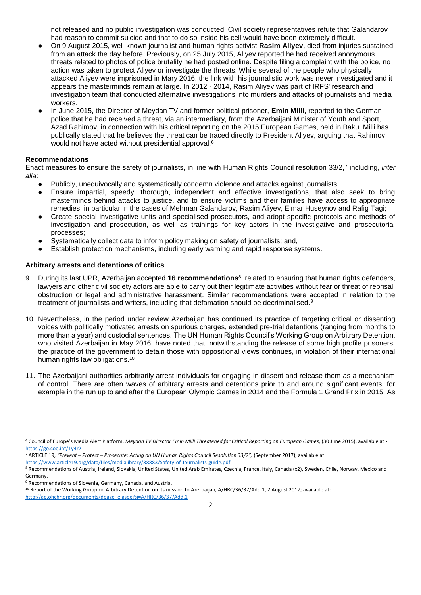not released and no public investigation was conducted. Civil society representatives refute that Galandarov had reason to commit suicide and that to do so inside his cell would have been extremely difficult.

- On 9 August 2015, well-known journalist and human rights activist **Rasim Aliyev**, died from injuries sustained from an attack the day before. Previously, on 25 July 2015, Aliyev reported he had received anonymous threats related to photos of police brutality he had posted online. Despite filing a complaint with the police, no action was taken to protect Aliyev or investigate the threats. While several of the people who physically attacked Aliyev were imprisoned in Mary 2016, the link with his journalistic work was never investigated and it appears the masterminds remain at large. In 2012 - 2014, Rasim Aliyev was part of IRFS' research and investigation team that conducted alternative investigations into murders and attacks of journalists and media workers.
- In June 2015, the Director of Meydan TV and former political prisoner, **Emin Milli**, reported to the German police that he had received a threat, via an intermediary, from the Azerbaijani Minister of Youth and Sport, Azad Rahimov, in connection with his critical reporting on the 2015 European Games, held in Baku. Milli has publically stated that he believes the threat can be traced directly to President Aliyev, arguing that Rahimov would not have acted without presidential approval.<sup>6</sup>

## **Recommendations**

Enact measures to ensure the safety of journalists, in line with Human Rights Council resolution 33/2,<sup>7</sup> including, *inter alia*:

- Publicly, unequivocally and systematically condemn violence and attacks against journalists;
- Ensure impartial, speedy, thorough, independent and effective investigations, that also seek to bring masterminds behind attacks to justice, and to ensure victims and their families have access to appropriate remedies, in particular in the cases of Mehman Galandarov, Rasim Aliyev, Elmar Huseynov and Rafig Tagi;
- Create special investigative units and specialised prosecutors, and adopt specific protocols and methods of investigation and prosecution, as well as trainings for key actors in the investigative and prosecutorial processes;
- Systematically collect data to inform policy making on safety of journalists; and,
- Establish protection mechanisms, including early warning and rapid response systems.

## **Arbitrary arrests and detentions of critics**

- 9. During its last UPR, Azerbaijan accepted **16 recommendations**<sup>8</sup> related to ensuring that human rights defenders, lawyers and other civil society actors are able to carry out their legitimate activities without fear or threat of reprisal, obstruction or legal and administrative harassment. Similar recommendations were accepted in relation to the treatment of journalists and writers, including that defamation should be decriminalised.<sup>9</sup>
- 10. Nevertheless, in the period under review Azerbaijan has continued its practice of targeting critical or dissenting voices with politically motivated arrests on spurious charges, extended pre-trial detentions (ranging from months to more than a year) and custodial sentences. The UN Human Rights Council's Working Group on Arbitrary Detention, who visited Azerbaijan in May 2016, have noted that, notwithstanding the release of some high profile prisoners, the practice of the government to detain those with oppositional views continues, in violation of their international human rights law obligations.<sup>10</sup>
- 11. The Azerbaijani authorities arbitrarily arrest individuals for engaging in dissent and release them as a mechanism of control. There are often waves of arbitrary arrests and detentions prior to and around significant events, for example in the run up to and after the European Olympic Games in 2014 and the Formula 1 Grand Prix in 2015. As

<https://www.article19.org/data/files/medialibrary/38883/Safety-of-Journalists-guide.pdf>

1

http://ap.ohchr.org/documents/dpage\_e.aspx?si=A/HRC/36/37/Add.1

<sup>6</sup> Council of Europe's Media Alert Platform, *Meydan TV Director Emin Milli Threatened for Critical Reporting on European Games*, (30 June 2015), available at <https://go.coe.int/1y4r2>

<sup>7</sup> ARTICLE 19, *"Prevent – Protect – Prosecute: Acting on UN Human Rights Council Resolution 33/2",* (September 2017), available at:

<sup>&</sup>lt;sup>8</sup> Recommendations of Austria, Ireland, Slovakia, United States, United Arab Emirates, Czechia, France, Italy, Canada (x2), Sweden, Chile, Norway, Mexico and Germany.

<sup>9</sup> Recommendations of Slovenia, Germany, Canada, and Austria.

<sup>&</sup>lt;sup>10</sup> Report of the Working Group on Arbitrary Detention on its mission to Azerbaijan, A/HRC/36/37/Add.1, 2 August 2017; available at: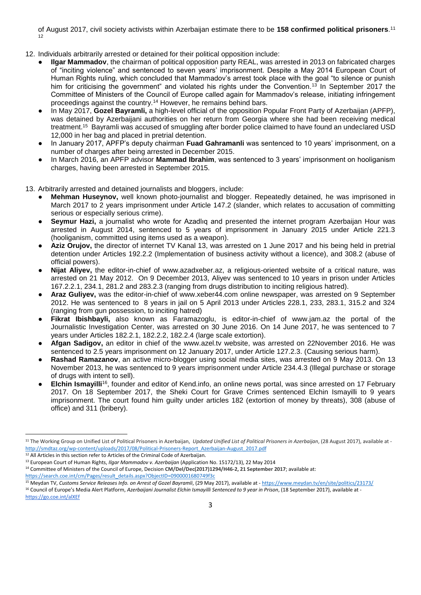of August 2017, civil society activists within Azerbaijan estimate there to be **158 confirmed political prisoners**. 11 12

- 12. Individuals arbitrarily arrested or detained for their political opposition include:
	- **Ilgar Mammadov**, the chairman of political opposition party REAL, was arrested in 2013 on fabricated charges of "inciting violence" and sentenced to seven years' imprisonment. Despite a May 2014 European Court of Human Rights ruling, which concluded that Mammadov's arrest took place with the goal "to silence or punish him for criticising the government" and violated his rights under the Convention.<sup>13</sup> In September 2017 the Committee of Ministers of the Council of Europe called again for Mammadov's release, initiating infringement proceedings against the country.<sup>14</sup> However, he remains behind bars.
	- In May 2017, **Gozel Bayramli,** a high-level official of the opposition Popular Front Party of Azerbaijan (APFP), was detained by Azerbaijani authorities on her return from Georgia where she had been receiving medical treatment.<sup>15</sup> Bayramli was accused of smuggling after border police claimed to have found an undeclared USD 12,000 in her bag and placed in pretrial detention.
	- In January 2017, APFP's deputy chairman **Fuad Gahramanli** was sentenced to 10 years' imprisonment, on a number of charges after being arrested in December 2015.
	- In March 2016, an APFP advisor **Mammad Ibrahim**, was sentenced to 3 years' imprisonment on hooliganism charges, having been arrested in September 2015.

13. Arbitrarily arrested and detained journalists and bloggers, include:

- Mehman Huseynov, well known photo-journalist and blogger. Repeatedly detained, he was imprisoned in March 2017 to 2 years imprisonment under Article 147.2 (slander, which relates to accusation of committing serious or especially serious crime).
- Seymur Hazi, a journalist who wrote for Azadlıq and presented the internet program Azerbaijan Hour was arrested in August 2014, sentenced to 5 years of imprisonment in January 2015 under Article 221.3 (hooliganism, committed using items used as a weapon).
- Aziz Orujov, the director of internet TV Kanal 13, was arrested on 1 June 2017 and his being held in pretrial detention under Articles 192.2.2 (Implementation of business activity without a licence), and 308.2 (abuse of official powers).
- Nijat Aliyev, the editor-in-chief of www.azadxeber.az, a religious-oriented website of a critical nature, was arrested on 21 May 2012. On 9 December 2013, Aliyev was sentenced to 10 years in prison under Articles 167.2.2.1, 234.1, 281.2 and 283.2.3 (ranging from drugs distribution to inciting religious hatred).
- **Araz Guliyev,** was the editor-in-chief of www.xeber44.com online newspaper, was arrested on 9 September 2012. He was sentenced to 8 years in jail on 5 April 2013 under Articles 228.1, 233, 283.1, 315.2 and 324 (ranging from gun possession, to inciting hatred)
- **Fikrat Ibishbayli**, also known as Faramazoglu, is editor-in-chief of www.jam.az the portal of the Journalistic Investigation Center, was arrested on 30 June 2016. On 14 June 2017, he was sentenced to 7 years under Articles 182.2.1, 182.2.2, 182.2.4 (large scale extortion).
- **Afgan Sadigov,** an editor in chief of the www.azel.tv website, was arrested on 22November 2016. He was sentenced to 2.5 years imprisonment on 12 January 2017, under Article 127.2.3. (Causing serious harm).
- **Rashad Ramazanov**, an active micro-blogger using social media sites, was arrested on 9 May 2013. On 13 November 2013, he was sentenced to 9 years imprisonment under Article 234.4.3 (Illegal purchase or storage of drugs with intent to sell).
- **Elchin Ismayilli**<sup>16</sup>, founder and editor of Kend.info, an online news portal, was since arrested on 17 February 2017. On 18 September 2017, the Sheki Court for Grave Crimes sentenced Elchin Ismayilli to 9 years imprisonment. The court found him guilty under articles 182 (extortion of money by threats), 308 (abuse of office) and 311 (bribery).

<sup>12</sup> All Articles in this section refer to Articles of the Criminal Code of Azerbaijan.

1

<sup>14</sup> Committee of Ministers of the Council of Europe, Decision **CM/Del/Dec(2017)1294/H46-2, 21 September 2017**; available at:

[https://search.coe.int/cm/Pages/result\\_details.aspx?ObjectID=0900001680749f3c](https://search.coe.int/cm/Pages/result_details.aspx?ObjectID=0900001680749f3c)

<sup>&</sup>lt;sup>11</sup> The Working Group on Unified List of Political Prisoners in Azerbaijan, *Updated Unified List of Political Prisoners in Azerbaijan*, (28 August 2017), available at [http://smdtaz.org/wp-content/uploads/2017/08/Political-Prisoners-Report\\_Azerbaijan-August\\_2017.pdf](http://smdtaz.org/wp-content/uploads/2017/08/Political-Prisoners-Report_Azerbaijan-August_2017.pdf)

<sup>13</sup> European Court of Human Rights, *Ilgar Mammadov v. Azerbaijan* (Application No. 15172/13), 22 May 2014

<sup>15</sup> Meydan TV, *Customs Service Releases Info. on Arrest of Gozel Bayramli*, (29 May 2017), available at - <https://www.meydan.tv/en/site/politics/23173/> <sup>16</sup> Council of Europe's Media Alert Platform, Azerbaijani Journalist Elchin Ismayilli Sentenced to 9 year in Prison, (18 September 2017), available at <https://go.coe.int/alXEf>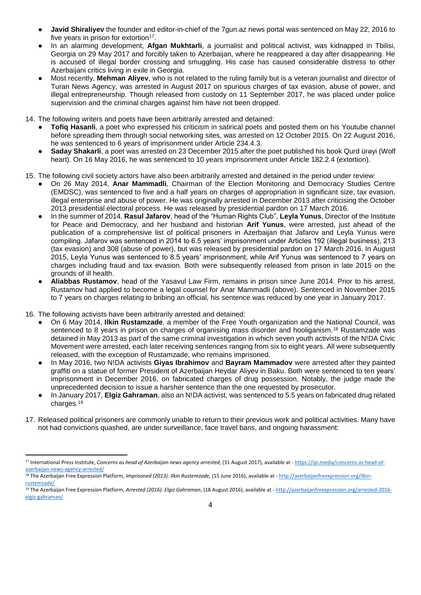- **Javid Shiraliyev** the founder and editor-in-chief of the 7gun.az news portal was sentenced on May 22, 2016 to five years in prison for extortion<sup>17</sup>.
- In an alarming development, **Afgan Mukhtarli**, a journalist and political activist, was kidnapped in Tbilisi, Georgia on 29 May 2017 and forcibly taken to Azerbaijan, where he reappeared a day after disappearing. He is accused of illegal border crossing and smuggling. His case has caused considerable distress to other Azerbaijani critics living in exile in Georgia.
- Most recently, **Mehman Aliyev**, who is not related to the ruling family but is a veteran journalist and director of Turan News Agency, was arrested in August 2017 on spurious charges of tax evasion, abuse of power, and illegal entrepreneurship. Though released from custody on 11 September 2017, he was placed under police supervision and the criminal charges against him have not been dropped.

14. The following writers and poets have been arbitrarily arrested and detained:

- **Tofig Hasanli**, a poet who expressed his criticism in satirical poets and posted them on his Youtube channel before spreading them through social networking sites, was arrested on 12 October 2015. On 22 August 2016, he was sentenced to 6 years of imprisonment under Article 234.4.3.
- **Saday Shakarli**, a poet was arrested on 23 December 2015 after the poet published his book Qurd ürəyi (Wolf heart). On 16 May 2016, he was sentenced to 10 years imprisonment under Article 182.2.4 (extortion).
- 15. The following civil society actors have also been arbitrarily arrested and detained in the period under review:
	- On 26 May 2014, **Anar Mammadli**, Chairman of the Election Monitoring and Democracy Studies Centre (EMDSC), was sentenced to five and a half years on charges of appropriation in significant size, tax evasion, illegal enterprise and abuse of power. He was originally arrested in December 2013 after criticising the October 2013 presidential electoral process. He was released by presidential pardon on 17 March 2016.
	- In the summer of 2014, **Rasul Jafarov**, head of the "Human Rights Club", **Leyla Yunus**, Director of the Institute for Peace and Democracy, and her husband and historian **Arif Yunus**, were arrested, just ahead of the publication of a comprehensive list of political prisoners in Azerbaijan that Jafarov and Leyla Yunus were compiling. Jafarov was sentenced in 2014 to 6.5 years' imprisonment under Articles 192 (illegal business), 213 (tax evasion) and 308 (abuse of power), but was released by presidential pardon on 17 March 2016. In August 2015, Leyla Yunus was sentenced to 8.5 years' imprisonment, while Arif Yunus was sentenced to 7 years on charges including fraud and tax evasion. Both were subsequently released from prison in late 2015 on the grounds of ill health.
	- **Aliabbas Rustamov**, head of the Yasavul Law Firm, remains in prison since June 2014. Prior to his arrest, Rustamov had applied to become a legal counsel for Anar Mammadli (above). Sentenced in November 2015 to 7 years on charges relating to bribing an official, his sentence was reduced by one year in January 2017.
- 16. The following activists have been arbitrarily arrested and detained:

1

- On 6 May 2014, **Ilkin Rustamzade**, a member of the Free Youth organization and the National Council, was sentenced to 8 years in prison on charges of organising mass disorder and hooliganism.<sup>18</sup> Rustamzade was detained in May 2013 as part of the same criminal investigation in which seven youth activists of the N!DA Civic Movement were arrested, each later receiving sentences ranging from six to eight years. All were subsequently released, with the exception of Rustamzade, who remains imprisoned.
- In May 2016, two N!DA activists **Giyas Ibrahimov** and **Bayram Mammadov** were arrested after they painted graffiti on a statue of former President of Azerbaijan Heydar Aliyev in Baku. Both were sentenced to ten years' imprisonment in December 2016, on fabricated charges of drug possession. Notably, the judge made the unprecedented decision to issue a harsher sentence than the one requested by prosecutor.
- In January 2017, **Elgiz Gahraman**, also an N!DA activist, was sentenced to 5.5 years on fabricated drug related charges.<sup>19</sup>
- 17. Released political prisoners are commonly unable to return to their previous work and political activities. Many have not had convictions quashed, are under surveillance, face travel bans, and ongoing harassment:

<sup>17</sup> International Press Institute, *Concerns as head of Azerbaijan news agency arrested*, (31 August 2017), available at - [https://ipi.media/concerns-as-head-of](https://ipi.media/concerns-as-head-of-azerbaijan-news-agency-arrested/)[azerbaijan-news-agency-arrested/](https://ipi.media/concerns-as-head-of-azerbaijan-news-agency-arrested/)

<sup>18</sup> The Azerbaijan Free Expression Platform, *Imprisoned (2013): Ilkin Rustemzade,* (15 June 2016), available at - [http://azerbaijanfreexpression.org/ilkin](http://azerbaijanfreexpression.org/ilkin-rustemzade/)[rustemzade/](http://azerbaijanfreexpression.org/ilkin-rustemzade/)

<sup>19</sup> The Azerbaijan Free Expression Platform, *Arrested (2016): Elgiz Gahraman*, (18 August 2016), available at - [http://azerbaijanfreexpression.org/arrested-2016](http://azerbaijanfreexpression.org/arrested-2016-elgiz-gahraman/) [elgiz-gahraman/](http://azerbaijanfreexpression.org/arrested-2016-elgiz-gahraman/)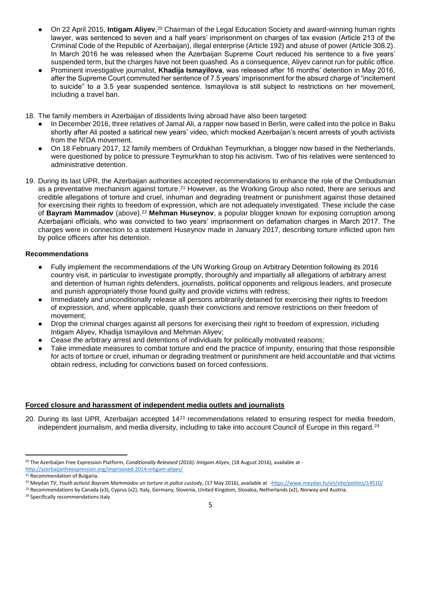- On 22 April 2015, **Intigam Aliyev**,<sup>20</sup> Chairman of the Legal Education Society and award-winning human rights lawyer, was sentenced to seven and a half years' imprisonment on charges of tax evasion (Article 213 of the Criminal Code of the Republic of Azerbaijan), illegal enterprise (Article 192) and abuse of power (Article 308.2). In March 2016 he was released when the Azerbaijan Supreme Court reduced his sentence to a five years' suspended term, but the charges have not been quashed. As a consequence, Aliyev cannot run for public office.
- Prominent investigative journalist, **Khadija Ismayilova**, was released after 16 months' detention in May 2016, after the Supreme Court commuted her sentence of 7.5 years' imprisonment for the absurd charge of "incitement to suicide" to a 3.5 year suspended sentence. Ismayilova is still subject to restrictions on her movement, including a travel ban.
- 18. The family members in Azerbaijan of dissidents living abroad have also been targeted:
	- In December 2016, three relatives of Jamal Ali, a rapper now based in Berlin, were called into the police in Baku shortly after Ali posted a satirical new years' video, which mocked Azerbaijan's recent arrests of youth activists from the N!DA movement.
	- On 18 February 2017, 12 family members of Ordukhan Teymurkhan, a blogger now based in the Netherlands, were questioned by police to pressure Teymurkhan to stop his activism. Two of his relatives were sentenced to administrative detention.
- 19. During its last UPR, the Azerbaijan authorities accepted recommendations to enhance the role of the Ombudsman as a preventative mechanism against torture.<sup>21</sup> However, as the Working Group also noted, there are serious and credible allegations of torture and cruel, inhuman and degrading treatment or punishment against those detained for exercising their rights to freedom of expression, which are not adequately investigated. These include the case of **Bayram Mammadov** (above).<sup>22</sup> **Mehman Huseynov**, a popular blogger known for exposing corruption among Azerbaijani officials, who was convicted to two years' imprisonment on defamation charges in March 2017. The charges were in connection to a statement Huseynov made in January 2017, describing torture inflicted upon him by police officers after his detention.

# **Recommendations**

- Fully implement the recommendations of the UN Working Group on Arbitrary Detention following its 2016 country visit, in particular to investigate promptly, thoroughly and impartially all allegations of arbitrary arrest and detention of human rights defenders, journalists, political opponents and religious leaders, and prosecute and punish appropriately those found guilty and provide victims with redress;
- Immediately and unconditionally release all persons arbitrarily detained for exercising their rights to freedom of expression, and, where applicable, quash their convictions and remove restrictions on their freedom of movement;
- Drop the criminal charges against all persons for exercising their right to freedom of expression, including Intigam Aliyev, Khadija Ismayilova and Mehman Aliyev;
- Cease the arbitrary arrest and detentions of individuals for politically motivated reasons;
- Take immediate measures to combat torture and end the practice of impunity, ensuring that those responsible for acts of torture or cruel, inhuman or degrading treatment or punishment are held accountable and that victims obtain redress, including for convictions based on forced confessions.

# **Forced closure and harassment of independent media outlets and journalists**

20. During its last UPR, Azerbaijan accepted 14<sup>23</sup> recommendations related to ensuring respect for media freedom, independent journalism, and media diversity, including to take into account Council of Europe in this regard.<sup>24</sup>

1

<sup>&</sup>lt;sup>20</sup> The Azerbaijan Free Expression Platform, *Conditionally Released (2016): Intigam Aliyev*, (18 August 2016), available at -

<http://azerbaijanfreexpression.org/imprisoned-2014-intigam-aliyev/>

<sup>&</sup>lt;sup>21</sup> Recommendation of Bulgaria.

<sup>22</sup> Meydan TV, *Youth activist Bayram Mammadov on torture in police custody*, (17 May 2016), available at [-https://www.meydan.tv/en/site/politics/14510/](https://www.meydan.tv/en/site/politics/14510/)

<sup>&</sup>lt;sup>23</sup> Recommendations by Canada (x3), Cyprus (x2), Italy, Germany, Slovenia, United Kingdom, Slovakia, Netherlands (x2), Norway and Austria.

<sup>24</sup> Specifically recommendations Italy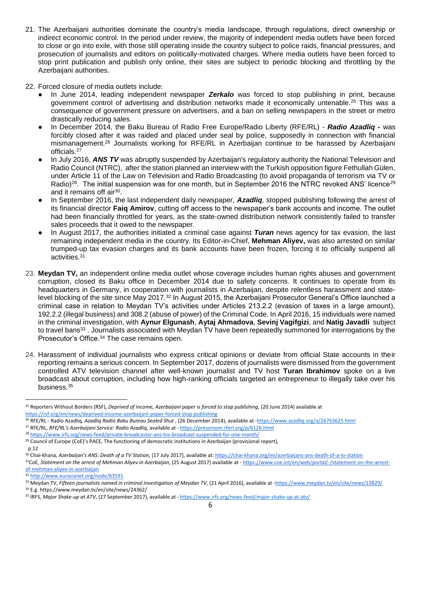21. The Azerbaijani authorities dominate the country's media landscape, through regulations, direct ownership or indirect economic control. In the period under review, the majority of independent media outlets have been forced to close or go into exile, with those still operating inside the country subject to police raids, financial pressures, and prosecution of journalists and editors on politically-motivated charges. Where media outlets have been forced to stop print publication and publish only online, their sites are subject to periodic blocking and throttling by the Azerbaijani authorities.

22. Forced closure of media outlets include:

- In June 2014, leading independent newspaper **Zerkalo** was forced to stop publishing in print, because government control of advertising and distribution networks made it economically untenable.<sup>25</sup> This was a consequence of government pressure on advertisers, and a ban on selling newspapers in the street or metro drastically reducing sales.
- In December 2014, the Baku Bureau of Radio Free Europe/Radio Liberty (RFE/RL) *Radio Azadliq -* was forcibly closed after it was raided and placed under seal by police, supposedly in connection with financial mismanagement.<sup>26</sup> Journalists working for RFE/RL in Azerbaijan continue to be harassed by Azerbaijani officials.<sup>27</sup>
- In July 2016, **ANS TV** was abruptly suspended by Azerbaijan's regulatory authority the National Television and Radio Council (NTRC), after the station planned an interview with the Turkish opposition figure Fethullah Gülen, under Article 11 of the Law on Television and Radio Broadcasting (to avoid propaganda of terrorism via TV or Radio)<sup>28</sup>. The initial suspension was for one month, but in September 2016 the NTRC revoked ANS' licence<sup>29</sup> and it remains off air<sup>30</sup>.
- In September 2016, the last independent daily newspaper, *Azadliq,* stopped publishing following the arrest of its financial director **Faiq Amirov**, cutting off access to the newspaper's bank accounts and income. The outlet had been financially throttled for years, as the state-owned distribution network consistently failed to transfer sales proceeds that it owed to the newspaper.
- In August 2017, the authorities initiated a criminal case against *Turan* news agency for tax evasion*,* the last remaining independent media in the country. Its Editor-in-Chief, **Mehman Aliyev,** was also arrested on similar trumped-up tax evasion charges and its bank accounts have been frozen, forcing it to officially suspend all activities.<sup>31</sup>
- 23. **Meydan TV,** an independent online media outlet whose coverage includes human rights abuses and government corruption, closed its Baku office in December 2014 due to safety concerns. It continues to operate from its headquarters in Germany, in cooperation with journalists in Azerbaijan, despite relentless harassment and statelevel blocking of the site since May 2017.<sup>32</sup> In August 2015, the Azerbaijani Prosecutor General's Office launched a criminal case in relation to Meydan TV's activities under Articles 213.2.2 (evasion of taxes in a large amount), 192.2.2 (illegal business) and 308.2 (abuse of power) of the Criminal Code. In April 2016, 15 individuals were named in the criminal investigation, with **Aynur Elgunash**, **Aytaj Ahmadova**, **Sevinj Vagifgizi**, and **Natig Javadli** subject to travel bans<sup>33</sup>. Journalists associated with Meydan TV have been repeatedly summoned for interrogations by the Prosecutor's Office.<sup>34</sup> The case remains open.
- 24. Harassment of individual journalists who express critical opinions or deviate from official State accounts in their reporting remains a serious concern. In September 2017, dozens of journalists were dismissed from the government controlled ATV television channel after well-known journalist and TV host **Turan Ibrahimov** spoke on a live broadcast about corruption, including how high-ranking officials targeted an entrepreneur to illegally take over his business.<sup>35</sup>

**.** 

<sup>25</sup> Reporters Without Borders (RSF), *Deprived of income, Azerbaijani paper is forced to stop publishing*, (20 June 2014) available at <https://rsf.org/en/news/deprived-income-azerbaijani-paper-forced-stop-publishing>

<sup>26</sup> RFE/RL - Radio Azadliq*, Azadliq Radio Baku Bureau Sealed Shut* , (26 December 2014), available at [-https://www.azadliq.org/a/26763625.html](https://www.azadliq.org/a/26763625.html) <sup>27</sup> RFE/RL, *RFE/RL's Azerbaijani Service: Radio Azadliq*, available at - <https://pressroom.rferl.org/p/6126.html>

<sup>28</sup> <https://www.irfs.org/news-feed/private-broadcaster-ans-tvs-broadcast-suspended-for-one-month/>

<sup>&</sup>lt;sup>29</sup> Council of Europe (CoE)'s PACE, The functioning of democratic institutions in Azerbaijan (provisional report),

p.12

<sup>30</sup> Chai-khana, *Azerbaijan's ANS: Death of a TV Station,* (17 July 2017), available at[: https://chai-khana.org/en/azerbaijans-ans-death-of-a-tv-station](https://chai-khana.org/en/azerbaijans-ans-death-of-a-tv-station) <sup>31</sup>CoE, *Statement on the arrest of Mehman Aliyev in Azerbaijan*, (25 August 2017) available at - [https://www.coe.int/en/web/portal/-/statement-on-the-arrest](https://www.coe.int/en/web/portal/-/statement-on-the-arrest-of-mehman-aliyev-in-azerbaijan)[of-mehman-aliyev-in-azerbaijan](https://www.coe.int/en/web/portal/-/statement-on-the-arrest-of-mehman-aliyev-in-azerbaijan)

<sup>32</sup> <http://www.eurasianet.org/node/83591>

<sup>33</sup> Meydan TV, *Fifteen journalists named in criminal investigation of Meydan TV*, (21 April 2016), available at [-https://www.meydan.tv/en/site/news/13829/](https://www.meydan.tv/en/site/news/13829/) <sup>34</sup> E.g. https://www.meydan.tv/en/site/news/24362/

<sup>35</sup> IRFS, *Major Shake-up at ATV*, (27 September 2017), available at - <https://www.irfs.org/news-feed/major-shake-up-at-atv/>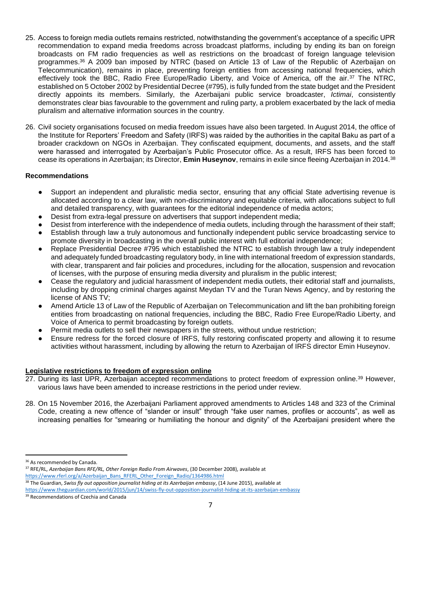- 25. Access to foreign media outlets remains restricted, notwithstanding the government's acceptance of a specific UPR recommendation to expand media freedoms across broadcast platforms, including by ending its ban on foreign broadcasts on FM radio frequencies as well as restrictions on the broadcast of foreign language television programmes.<sup>36</sup> A 2009 ban imposed by NTRC (based on Article 13 of Law of the Republic of Azerbaijan on Telecommunication), remains in place, preventing foreign entities from accessing national frequencies, which effectively took the BBC, Radio Free Europe/Radio Liberty, and Voice of America, off the air.<sup>37</sup> The NTRC, established on 5 October 2002 by Presidential Decree (#795), is fully funded from the state budget and the President directly appoints its members. Similarly, the Azerbaijani public service broadcaster, *Ictimai*, consistently demonstrates clear bias favourable to the government and ruling party, a problem exacerbated by the lack of media pluralism and alternative information sources in the country.
- 26. Civil society organisations focused on media freedom issues have also been targeted. In August 2014, the office of the Institute for Reporters' Freedom and Safety (IRFS) was raided by the authorities in the capital Baku as part of a broader crackdown on NGOs in Azerbaijan. They confiscated equipment, documents, and assets, and the staff were harassed and interrogated by Azerbaijan's Public Prosecutor office. As a result, IRFS has been forced to cease its operations in Azerbaijan; its Director, **Emin Huseynov**, remains in exile since fleeing Azerbaijan in 2014.<sup>38</sup>

## **Recommendations**

- Support an independent and pluralistic media sector, ensuring that any official State advertising revenue is allocated according to a clear law, with non-discriminatory and equitable criteria, with allocations subject to full and detailed transparency, with guarantees for the editorial independence of media actors;
- Desist from extra-legal pressure on advertisers that support independent media;
- Desist from interference with the independence of media outlets, including through the harassment of their staff;
- Establish through law a truly autonomous and functionally independent public service broadcasting service to promote diversity in broadcasting in the overall public interest with full editorial independence;
- Replace Presidential Decree #795 which established the NTRC to establish through law a truly independent and adequately funded broadcasting regulatory body, in line with international freedom of expression standards, with clear, transparent and fair policies and procedures, including for the allocation, suspension and revocation of licenses, with the purpose of ensuring media diversity and pluralism in the public interest;
- Cease the regulatory and judicial harassment of independent media outlets, their editorial staff and journalists, including by dropping criminal charges against Meydan TV and the Turan News Agency, and by restoring the license of ANS TV;
- Amend Article 13 of Law of the Republic of Azerbaijan on Telecommunication and lift the ban prohibiting foreign entities from broadcasting on national frequencies, including the BBC, Radio Free Europe/Radio Liberty, and Voice of America to permit broadcasting by foreign outlets.
- Permit media outlets to sell their newspapers in the streets, without undue restriction;
- Ensure redress for the forced closure of IRFS, fully restoring confiscated property and allowing it to resume activities without harassment, including by allowing the return to Azerbaijan of IRFS director Emin Huseynov.

## **Legislative restrictions to freedom of expression online**

- 27. During its last UPR, Azerbaijan accepted recommendations to protect freedom of expression online.<sup>39</sup> However, various laws have been amended to increase restrictions in the period under review.
- 28. On 15 November 2016, the Azerbaijani Parliament approved amendments to Articles 148 and 323 of the Criminal Code, creating a new offence of "slander or insult" through "fake user names, profiles or accounts", as well as increasing penalties for "smearing or humiliating the honour and dignity" of the Azerbaijani president where the

1

<sup>37</sup> RFE/RL, *Azerbaijan Bans RFE/RL, Other Foreign Radio From Airwaves*, (30 December 2008), available at [https://www.rferl.org/a/Azerbaijan\\_Bans\\_RFERL\\_Other\\_Foreign\\_Radio/1364986.html](https://www.rferl.org/a/Azerbaijan_Bans_RFERL_Other_Foreign_Radio/1364986.html)

<sup>38</sup> The Guardian, Swiss fly out opposition journalist hiding at its Azerbaijan embassy, (14 June 2015), available at

<sup>&</sup>lt;sup>36</sup> As recommended by Canada.

<https://www.theguardian.com/world/2015/jun/14/swiss-fly-out-opposition-journalist-hiding-at-its-azerbaijan-embassy>

<sup>39</sup> Recommendations of Czechia and Canada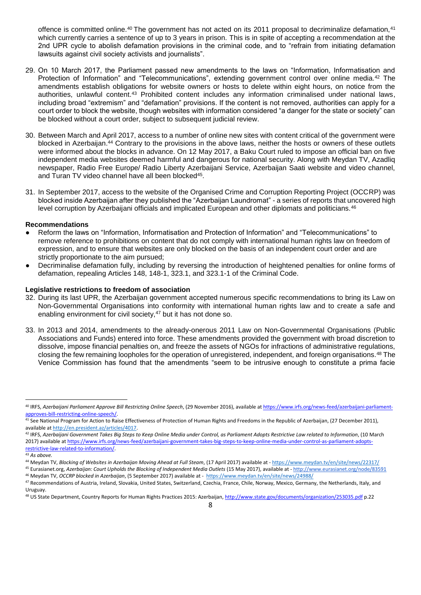offence is committed online.<sup>40</sup> The government has not acted on its 2011 proposal to decriminalize defamation,<sup>41</sup> which currently carries a sentence of up to 3 years in prison. This is in spite of accepting a recommendation at the 2nd UPR cycle to abolish defamation provisions in the criminal code, and to "refrain from initiating defamation lawsuits against civil society activists and journalists".

- 29. On 10 March 2017, the Parliament passed new amendments to the laws on "Information, Informatisation and Protection of Information" and "Telecommunications", extending government control over online media.<sup>42</sup> The amendments establish obligations for website owners or hosts to delete within eight hours, on notice from the authorities, unlawful content.<sup>43</sup> Prohibited content includes any information criminalised under national laws, including broad "extremism" and "defamation" provisions. If the content is not removed, authorities can apply for a court order to block the website, though websites with information considered "a danger for the state or society" can be blocked without a court order, subject to subsequent judicial review.
- 30. Between March and April 2017, access to a number of online new sites with content critical of the government were blocked in Azerbaijan.<sup>44</sup> Contrary to the provisions in the above laws, neither the hosts or owners of these outlets were informed about the blocks in advance. On 12 May 2017, a Baku Court ruled to impose an official ban on five independent media websites deemed harmful and dangerous for national security. Along with Meydan TV, Azadliq newspaper, Radio Free Europe/ Radio Liberty Azerbaijani Service, Azerbaijan Saati website and video channel, and Turan TV video channel have all been blocked<sup>45</sup>.
- 31. In September 2017, access to the website of the Organised Crime and Corruption Reporting Project (OCCRP) was blocked inside Azerbaijan after they published the "Azerbaijan Laundromat" - a series of reports that uncovered high level corruption by Azerbaijani officials and implicated European and other diplomats and politicians.<sup>46</sup>

## **Recommendations**

- Reform the laws on "Information, Informatisation and Protection of Information" and "Telecommunications" to remove reference to prohibitions on content that do not comply with international human rights law on freedom of expression, and to ensure that websites are only blocked on the basis of an independent court order and are strictly proportionate to the aim pursued;
- Decriminalise defamation fully, including by reversing the introduction of heightened penalties for online forms of defamation, repealing Articles 148, 148-1, 323.1, and 323.1-1 of the Criminal Code.

#### **Legislative restrictions to freedom of association**

- 32. During its last UPR, the Azerbaijan government accepted numerous specific recommendations to bring its Law on Non-Governmental Organisations into conformity with international human rights law and to create a safe and enabling environment for civil society,<sup>47</sup> but it has not done so.
- 33. In 2013 and 2014, amendments to the already-onerous 2011 Law on Non-Governmental Organisations (Public Associations and Funds) entered into force. These amendments provided the government with broad discretion to dissolve, impose financial penalties on, and freeze the assets of NGOs for infractions of administrative regulations, closing the few remaining loopholes for the operation of unregistered, independent, and foreign organisations.<sup>48</sup> The Venice Commission has found that the amendments "seem to be intrusive enough to constitute a prima facie

**.** 

<sup>40</sup> IRFS, *Azerbaijani Parliament Approve Bill Restricting Online Speech*, (29 November 2016), available a[t https://www.irfs.org/news-feed/azerbaijani-parliament](https://www.irfs.org/news-feed/azerbaijani-parliament-approves-bill-restricting-online-speech/)[approves-bill-restricting-online-speech/.](https://www.irfs.org/news-feed/azerbaijani-parliament-approves-bill-restricting-online-speech/)

<sup>41</sup> See National Program for Action to Raise Effectiveness of Protection of Human Rights and Freedoms in the Republic of Azerbaijan, (27 December 2011), available a[t http://en.president.az/articles/4017.](http://en.president.az/articles/4017)

<sup>42</sup> IRFS, Azerbaijani Government Takes Big Steps to Keep Online Media under Control, as Parliament Adopts Restrictive Law related to Information, (10 March 2017) available a[t https://www.irfs.org/news-feed/azerbaijani-government-takes-big-steps-to-keep-online-media-under-control-as-parliament-adopts](https://www.irfs.org/news-feed/azerbaijani-government-takes-big-steps-to-keep-online-media-under-control-as-parliament-adopts-restrictive-law-related-to-information/)[restrictive-law-related-to-information/.](https://www.irfs.org/news-feed/azerbaijani-government-takes-big-steps-to-keep-online-media-under-control-as-parliament-adopts-restrictive-law-related-to-information/)

<sup>43</sup> *As above.*

<sup>44</sup> Meydan TV, *Blocking of Websites in Azerbaijan Moving Ahead at Full Steam*, (17 April 2017) available at - <https://www.meydan.tv/en/site/news/22317/> <sup>45</sup> Eurasianet.org, *Azerbaijan: Court Upholds the Blocking of Independent Media Outlets* (15 May 2017), available at - <http://www.eurasianet.org/node/83591>

<sup>46</sup> Meydan TV, *OCCRP blocked in Azerbaijan*, (5 September 2017) available at - <https://www.meydan.tv/en/site/news/24988/>

<sup>47</sup> Recommendations of Austria, Ireland, Slovakia, United States, Switzerland, Czechia, France, Chile, Norway, Mexico, Germany, the Netherlands, Italy, and Uruguay.

<sup>48</sup> US State Department, Country Reports for Human Rights Practices 2015: Azerbaijan[, http://www.state.gov/documents/organization/253035.pdf](http://www.state.gov/documents/organization/253035.pdf) p.22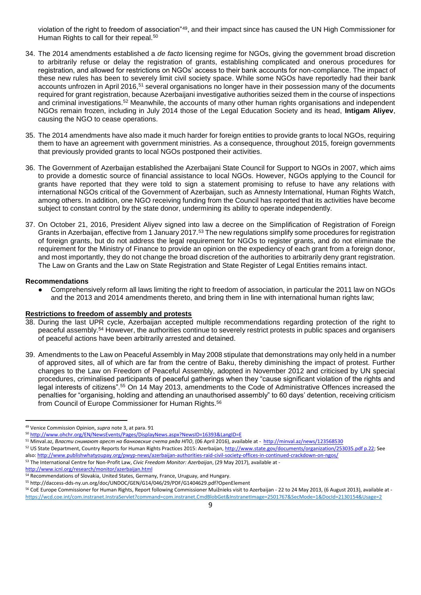violation of the right to freedom of association"<sup>49</sup>, and their impact since has caused the UN High Commissioner for Human Rights to call for their repeal.<sup>50</sup>

- 34. The 2014 amendments established a *de facto* licensing regime for NGOs, giving the government broad discretion to arbitrarily refuse or delay the registration of grants, establishing complicated and onerous procedures for registration, and allowed for restrictions on NGOs' access to their bank accounts for non-compliance. The impact of these new rules has been to severely limit civil society space. While some NGOs have reportedly had their bank accounts unfrozen in April 2016,<sup>51</sup> several organisations no longer have in their possession many of the documents required for grant registration, because Azerbaijani investigative authorities seized them in the course of inspections and criminal investigations.<sup>52</sup> Meanwhile, the accounts of many other human rights organisations and independent NGOs remain frozen, including in July 2014 those of the Legal Education Society and its head, **Intigam Aliyev**, causing the NGO to cease operations.
- 35. The 2014 amendments have also made it much harder for foreign entities to provide grants to local NGOs, requiring them to have an agreement with government ministries. As a consequence, throughout 2015, foreign governments that previously provided grants to local NGOs postponed their activities.
- 36. The Government of Azerbaijan established the Azerbaijani State Council for Support to NGOs in 2007, which aims to provide a domestic source of financial assistance to local NGOs. However, NGOs applying to the Council for grants have reported that they were told to sign a statement promising to refuse to have any relations with international NGOs critical of the Government of Azerbaijan, such as Amnesty International, Human Rights Watch, among others. In addition, one NGO receiving funding from the Council has reported that its activities have become subject to constant control by the state donor, undermining its ability to operate independently.
- 37. On October 21, 2016, President Aliyev signed into law a decree on the Simplification of Registration of Foreign Grants in Azerbaijan, effective from 1 January 2017.<sup>53</sup> The new regulations simplify some procedures for registration of foreign grants, but do not address the legal requirement for NGOs to register grants, and do not eliminate the requirement for the Ministry of Finance to provide an opinion on the expediency of each grant from a foreign donor, and most importantly, they do not change the broad discretion of the authorities to arbitrarily deny grant registration. The Law on Grants and the Law on State Registration and State Register of Legal Entities remains intact.

## **Recommendations**

**.** 

Comprehensively reform all laws limiting the right to freedom of association, in particular the 2011 law on NGOs and the 2013 and 2014 amendments thereto, and bring them in line with international human rights law;

#### **Restrictions to freedom of assembly and protests**

- 38. During the last UPR cycle, Azerbaijan accepted multiple recommendations regarding protection of the right to peaceful assembly.<sup>54</sup> However, the authorities continue to severely restrict protests in public spaces and organisers of peaceful actions have been arbitrarily arrested and detained.
- 39. Amendments to the Law on Peaceful Assembly in May 2008 stipulate that demonstrations may only held in a number of approved sites, all of which are far from the centre of Baku, thereby diminishing the impact of protest. Further changes to the Law on Freedom of Peaceful Assembly, adopted in November 2012 and criticised by UN special procedures, criminalised participants of peaceful gatherings when they "cause significant violation of the rights and legal interests of citizens".<sup>55</sup> On 14 May 2013, amendments to the Code of Administrative Offences increased the penalties for "organising, holding and attending an unauthorised assembly" to 60 days' detention, receiving criticism from Council of Europe Commissioner for Human Rights.<sup>56</sup>

<http://www.icnl.org/research/monitor/azerbaijan.html>

<sup>49</sup> Venice Commission Opinion, *supra* note 3, at para. 91

<sup>50</sup> <http://www.ohchr.org/EN/NewsEvents/Pages/DisplayNews.aspx?NewsID=16393&LangID=E>

<sup>51</sup> Minval.az, *Власти снимают арест на банковские счета ряда НПО*, (06 April 2016), available at -<http://minval.az/news/123568530>

<sup>52</sup> US State Department, Country Reports for Human Rights Practices 2015: Azerbaijan[, http://www.state.gov/documents/organization/253035.pdf p.22;](http://www.state.gov/documents/organization/253035.pdf%20p.22) See also[: http://www.publishwhatyoupay.org/pwyp-news/azerbaijan-authorities-raid-civil-society-offices-in-continued-crackdown-on-ngos/](http://www.publishwhatyoupay.org/pwyp-news/azerbaijan-authorities-raid-civil-society-offices-in-continued-crackdown-on-ngos/)

<sup>53</sup> The International Centre for Non-Profit Law, *Civic Freedom Monitor: Azerbaijan*, (29 May 2017), available at -

<sup>&</sup>lt;sup>54</sup> Recommendations of Slovakia, United States, Germany, France, Uruguay, and Hungary.

<sup>55</sup> http://daccess-dds-ny.un.org/doc/UNDOC/GEN/G14/046/29/PDF/G1404629.pdf?OpenElement <sup>56</sup> CoE Europe Commissioner for Human Rights, Report following Commissioner Muižnieks visit to Azerbaijan - 22 to 24 May 2013, (6 August 2013), available at <https://wcd.coe.int/com.instranet.InstraServlet?command=com.instranet.CmdBlobGet&InstranetImage=2501767&SecMode=1&DocId=2130154&Usage=2>